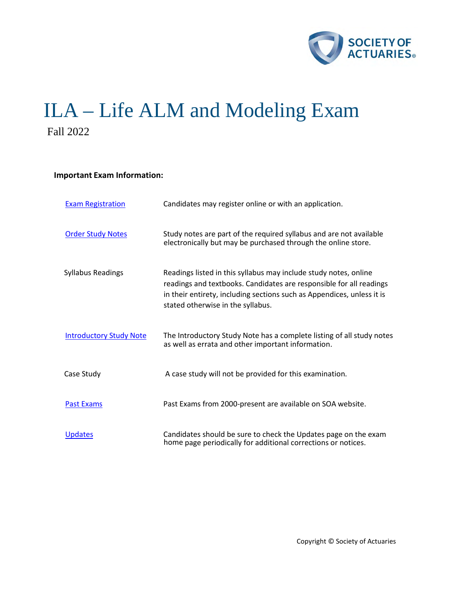

# ILA – Life ALM and Modeling Exam Fall 2022

# **Important Exam Information:**

| <b>Exam Registration</b>       | Candidates may register online or with an application.                                                                                                                                                                                                 |
|--------------------------------|--------------------------------------------------------------------------------------------------------------------------------------------------------------------------------------------------------------------------------------------------------|
| <b>Order Study Notes</b>       | Study notes are part of the required syllabus and are not available<br>electronically but may be purchased through the online store.                                                                                                                   |
| <b>Syllabus Readings</b>       | Readings listed in this syllabus may include study notes, online<br>readings and textbooks. Candidates are responsible for all readings<br>in their entirety, including sections such as Appendices, unless it is<br>stated otherwise in the syllabus. |
| <b>Introductory Study Note</b> | The Introductory Study Note has a complete listing of all study notes<br>as well as errata and other important information.                                                                                                                            |
| Case Study                     | A case study will not be provided for this examination.                                                                                                                                                                                                |
| <b>Past Exams</b>              | Past Exams from 2000-present are available on SOA website.                                                                                                                                                                                             |
| <b>Updates</b>                 | Candidates should be sure to check the Updates page on the exam<br>home page periodically for additional corrections or notices.                                                                                                                       |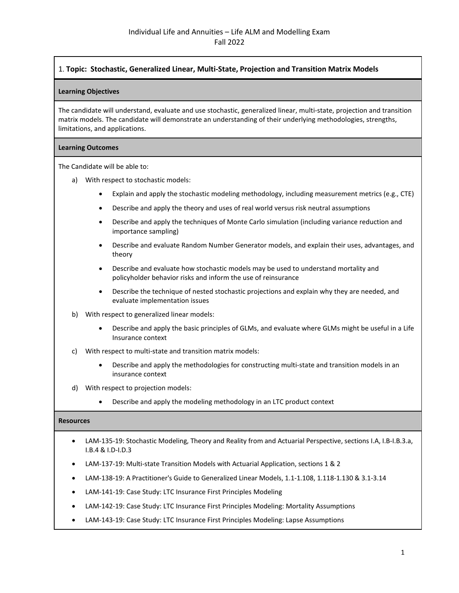## 1. **Topic: Stochastic, Generalized Linear, Multi-State, Projection and Transition Matrix Models**

## **Learning Objectives**

The candidate will understand, evaluate and use stochastic, generalized linear, multi-state, projection and transition matrix models. The candidate will demonstrate an understanding of their underlying methodologies, strengths, limitations, and applications.

## **Learning Outcomes**

The Candidate will be able to:

- a) With respect to stochastic models:
	- Explain and apply the stochastic modeling methodology, including measurement metrics (e.g., CTE)
	- Describe and apply the theory and uses of real world versus risk neutral assumptions
	- Describe and apply the techniques of Monte Carlo simulation (including variance reduction and importance sampling)
	- Describe and evaluate Random Number Generator models, and explain their uses, advantages, and theory
	- Describe and evaluate how stochastic models may be used to understand mortality and policyholder behavior risks and inform the use of reinsurance
	- Describe the technique of nested stochastic projections and explain why they are needed, and evaluate implementation issues
- b) With respect to generalized linear models:
	- Describe and apply the basic principles of GLMs, and evaluate where GLMs might be useful in a Life Insurance context
- c) With respect to multi-state and transition matrix models:
	- Describe and apply the methodologies for constructing multi-state and transition models in an insurance context
- d) With respect to projection models:
	- Describe and apply the modeling methodology in an LTC product context

- LAM-135-19: Stochastic Modeling, Theory and Reality from and Actuarial Perspective, sections I.A, I.B-I.B.3.a, I.B.4 & I.D-I.D.3
- LAM-137-19: Multi-state Transition Models with Actuarial Application, sections 1 & 2
- LAM-138-19: A Practitioner's Guide to Generalized Linear Models, 1.1-1.108, 1.118-1.130 & 3.1-3.14
- LAM-141-19: Case Study: LTC Insurance First Principles Modeling
- LAM-142-19: Case Study: LTC Insurance First Principles Modeling: Mortality Assumptions
- LAM-143-19: Case Study: LTC Insurance First Principles Modeling: Lapse Assumptions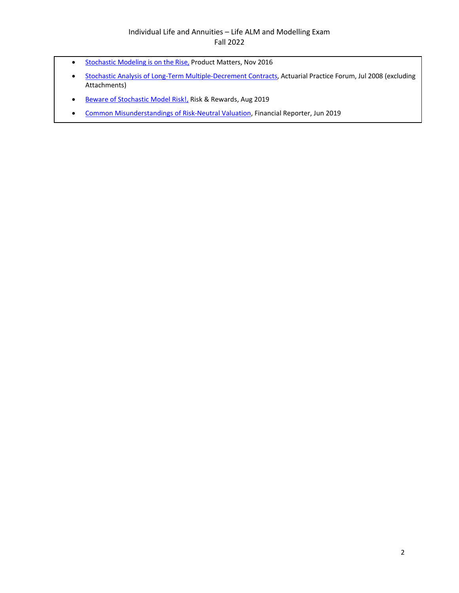# Individual Life and Annuities – Life ALM and Modelling Exam Fall 2022

- [Stochastic Modeling is on the Rise,](https://www.soa.org/globalassets/assets/library/newsletters/product-development-news/2016/november/pro-iss105.pdf) Product Matters, Nov 2016
- [Stochastic Analysis of Long-Term Multiple-Decrement Contracts,](https://www.soa.org/globalassets/assets/library/journals/actuarial-practice-forum/2008/august/apf-2008-08-clark.pdf) Actuarial Practice Forum, Jul 2008 (excluding Attachments)
- [Beware of Stochastic Model Risk!,](https://sections.soa.org/publication/?m=59639&i=615942&view=articleBrowser&article_id=3467886) Risk & Rewards, Aug 2019
- [Common Misunderstandings of Risk-Neutral Valuation,](https://sections.soa.org/publication/?m=59605&i=593252&view=articleBrowser&article_id=3400869) Financial Reporter, Jun 2019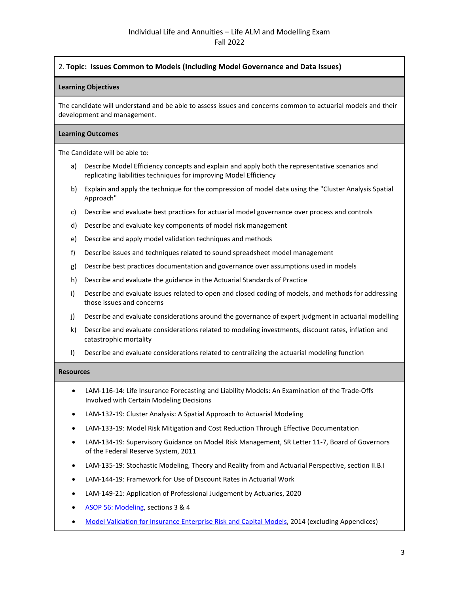## 2. **Topic: Issues Common to Models (Including Model Governance and Data Issues)**

#### **Learning Objectives**

The candidate will understand and be able to assess issues and concerns common to actuarial models and their development and management.

#### **Learning Outcomes**

The Candidate will be able to:

- a) Describe Model Efficiency concepts and explain and apply both the representative scenarios and replicating liabilities techniques for improving Model Efficiency
- b) Explain and apply the technique for the compression of model data using the "Cluster Analysis Spatial Approach"
- c) Describe and evaluate best practices for actuarial model governance over process and controls
- d) Describe and evaluate key components of model risk management
- e) Describe and apply model validation techniques and methods
- f) Describe issues and techniques related to sound spreadsheet model management
- g) Describe best practices documentation and governance over assumptions used in models
- h) Describe and evaluate the guidance in the Actuarial Standards of Practice
- i) Describe and evaluate issues related to open and closed coding of models, and methods for addressing those issues and concerns
- j) Describe and evaluate considerations around the governance of expert judgment in actuarial modelling
- k) Describe and evaluate considerations related to modeling investments, discount rates, inflation and catastrophic mortality
- l) Describe and evaluate considerations related to centralizing the actuarial modeling function

- LAM-116-14: Life Insurance Forecasting and Liability Models: An Examination of the Trade-Offs Involved with Certain Modeling Decisions
- LAM-132-19: Cluster Analysis: A Spatial Approach to Actuarial Modeling
- LAM-133-19: Model Risk Mitigation and Cost Reduction Through Effective Documentation
- LAM-134-19: Supervisory Guidance on Model Risk Management, SR Letter 11-7, Board of Governors of the Federal Reserve System, 2011
- LAM-135-19: Stochastic Modeling, Theory and Reality from and Actuarial Perspective, section II.B.I
- LAM-144-19: Framework for Use of Discount Rates in Actuarial Work
- LAM-149-21: Application of Professional Judgement by Actuaries, 2020
- [ASOP 56: Modeling,](http://www.actuarialstandardsboard.org/wp-content/uploads/2020/01/asop056_195.pdf) sections 3 & 4
- [Model Validation for Insurance Enterprise Risk and Capital Models,](https://www.soa.org/globalassets/assets/Files/Research/Projects/research-2014-model-valid-ins.pdf) 2014 (excluding Appendices)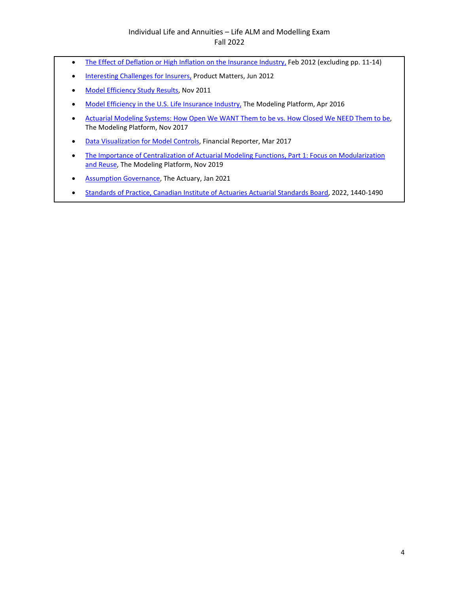# Individual Life and Annuities – Life ALM and Modelling Exam Fall 2022

- [The Effect of Deflation or High Inflation on the Insurance Industry,](https://www.soa.org/globalassets/assets/Files/Research/Projects/research-2012-02-effect-deflation-report.pdf) Feb 2012 (excluding pp. 11-14)
- [Interesting Challenges for Insurers,](https://www.soa.org/globalassets/assets/Library/Newsletters/Product-Development-News/2012/june/pro-2012-iss83-fenton.pdf) Product Matters, Jun 2012
- [Model Efficiency Study Results,](https://www.soa.org/globalassets/assets/Files/Research/Projects/research-2011-11-model-eff-report.pdf) Nov 2011
- [Model Efficiency in the U.S. Life Insurance Industry,](https://www.soa.org/globalassets/assets/library/newsletters/the-modeling-platform/2016/april/mp-2016-iss3.pdf) The Modeling Platform, Apr 2016
- [Actuarial Modeling Systems: How Open We WANT Them to be vs. How Closed We NEED Them to be,](https://www.soa.org/globalassets/assets/Library/Newsletters/The-Modeling-Platform/2017/november/mp-2017-iss6.pdf)  The Modeling Platform, Nov 2017
- [Data Visualization for Model Controls,](https://www.soa.org/globalassets/assets/library/newsletters/financial-reporter/2017/march/fr-2017-iss108.pdf) Financial Reporter, Mar 2017
- [The Importance of Centralization of Actuarial Modeling Functions, Part 1: Focus on Modularization](https://www.soa.org/globalassets/assets/library/newsletters/the-modeling-platform/2019/november/mp-2019-is10-robidoux.pdf)  [and Reuse,](https://www.soa.org/globalassets/assets/library/newsletters/the-modeling-platform/2019/november/mp-2019-is10-robidoux.pdf) The Modeling Platform, Nov 2019
- [Assumption Governance,](https://theactuarymagazine.org/assumption-governance/) The Actuary, Jan 2021
- [Standards of Practice, Canadian Institute of Actuaries Actuarial Standards Board,](https://www.cia-ica.ca/docs/default-source/standards/sg010123e.pdf) 2022, 1440-1490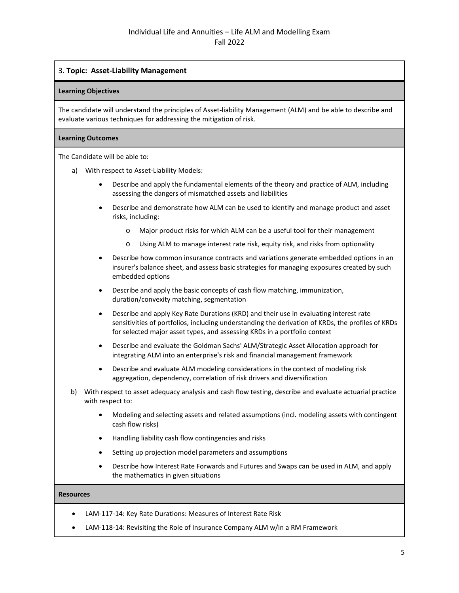## 3. **Topic: Asset-Liability Management**

#### **Learning Objectives**

The candidate will understand the principles of Asset-liability Management (ALM) and be able to describe and evaluate various techniques for addressing the mitigation of risk.

### **Learning Outcomes**

The Candidate will be able to:

- a) With respect to Asset-Liability Models:
	- Describe and apply the fundamental elements of the theory and practice of ALM, including assessing the dangers of mismatched assets and liabilities
	- Describe and demonstrate how ALM can be used to identify and manage product and asset risks, including:
		- o Major product risks for which ALM can be a useful tool for their management
		- o Using ALM to manage interest rate risk, equity risk, and risks from optionality
	- Describe how common insurance contracts and variations generate embedded options in an insurer's balance sheet, and assess basic strategies for managing exposures created by such embedded options
	- Describe and apply the basic concepts of cash flow matching, immunization, duration/convexity matching, segmentation
	- Describe and apply Key Rate Durations (KRD) and their use in evaluating interest rate sensitivities of portfolios, including understanding the derivation of KRDs, the profiles of KRDs for selected major asset types, and assessing KRDs in a portfolio context
	- Describe and evaluate the Goldman Sachs' ALM/Strategic Asset Allocation approach for integrating ALM into an enterprise's risk and financial management framework
	- Describe and evaluate ALM modeling considerations in the context of modeling risk aggregation, dependency, correlation of risk drivers and diversification
- b) With respect to asset adequacy analysis and cash flow testing, describe and evaluate actuarial practice with respect to:
	- Modeling and selecting assets and related assumptions (incl. modeling assets with contingent cash flow risks)
	- Handling liability cash flow contingencies and risks
	- Setting up projection model parameters and assumptions
	- Describe how Interest Rate Forwards and Futures and Swaps can be used in ALM, and apply the mathematics in given situations

- LAM-117-14: Key Rate Durations: Measures of Interest Rate Risk
- LAM-118-14: Revisiting the Role of Insurance Company ALM w/in a RM Framework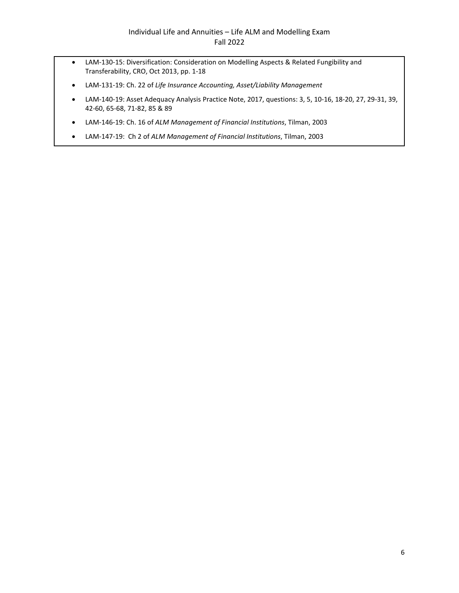- LAM-130-15: Diversification: Consideration on Modelling Aspects & Related Fungibility and Transferability, CRO, Oct 2013, pp. 1-18
- LAM-131-19: Ch. 22 of *Life Insurance Accounting, Asset/Liability Management*
- LAM-140-19: Asset Adequacy Analysis Practice Note, 2017, questions: 3, 5, 10-16, 18-20, 27, 29-31, 39, 42-60, 65-68, 71-82, 85 & 89
- LAM-146-19: Ch. 16 of *ALM Management of Financial Institutions*, Tilman, 2003
- LAM-147-19: Ch 2 of *ALM Management of Financial Institutions*, Tilman, 2003